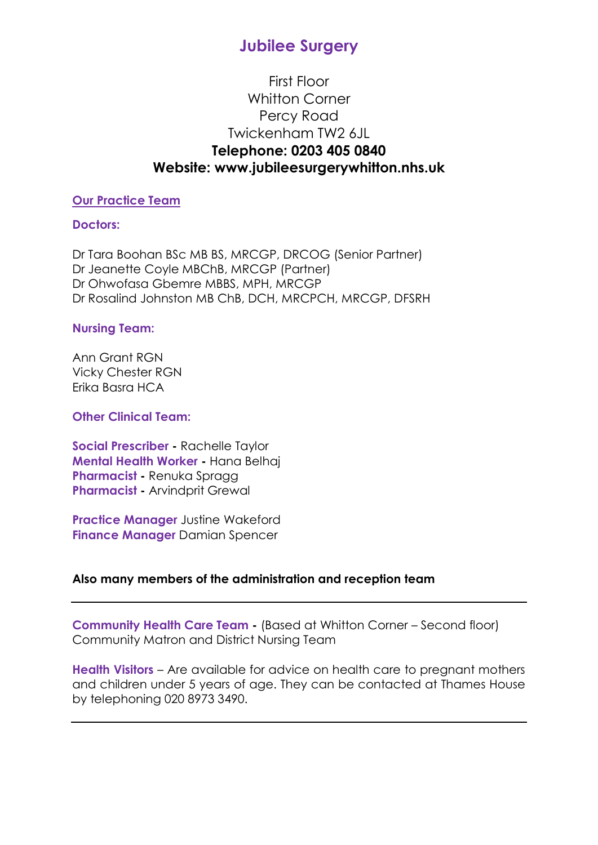## First Floor Whitton Corner Percy Road Twickenham TW2 6JL **Telephone: 0203 405 0840 Website: www.jubileesurgerywhitton.nhs.uk**

### **Our Practice Team**

#### **Doctors:**

Dr Tara Boohan BSc MB BS, MRCGP, DRCOG (Senior Partner) Dr Jeanette Coyle MBChB, MRCGP (Partner) Dr Ohwofasa Gbemre MBBS, MPH, MRCGP Dr Rosalind Johnston MB ChB, DCH, MRCPCH, MRCGP, DFSRH

#### **Nursing Team:**

Ann Grant RGN Vicky Chester RGN Erika Basra HCA

#### **Other Clinical Team:**

**Social Prescriber -** Rachelle Taylor **Mental Health Worker -** Hana Belhaj **Pharmacist -** Renuka Spragg **Pharmacist -** Arvindprit Grewal

**Practice Manager** Justine Wakeford **Finance Manager** Damian Spencer

## **Also many members of the administration and reception team**

**Community Health Care Team -** (Based at Whitton Corner – Second floor) Community Matron and District Nursing Team

**Health Visitors** – Are available for advice on health care to pregnant mothers and children under 5 years of age. They can be contacted at Thames House by telephoning 020 8973 3490.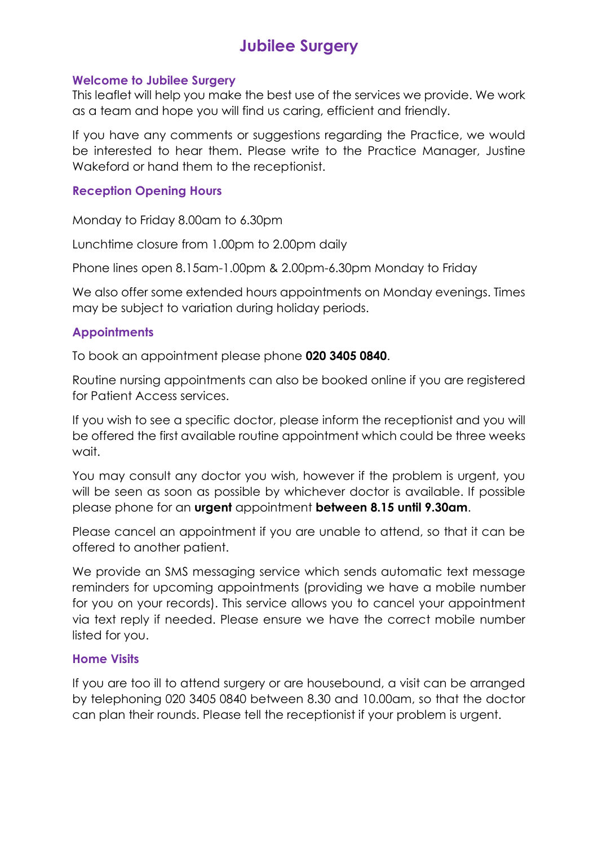#### **Welcome to Jubilee Surgery**

This leaflet will help you make the best use of the services we provide. We work as a team and hope you will find us caring, efficient and friendly.

If you have any comments or suggestions regarding the Practice, we would be interested to hear them. Please write to the Practice Manager, Justine Wakeford or hand them to the receptionist.

## **Reception Opening Hours**

Monday to Friday 8.00am to 6.30pm

Lunchtime closure from 1.00pm to 2.00pm daily

Phone lines open 8.15am-1.00pm & 2.00pm-6.30pm Monday to Friday

We also offer some extended hours appointments on Monday evenings. Times may be subject to variation during holiday periods.

## **Appointments**

To book an appointment please phone **020 3405 0840**.

Routine nursing appointments can also be booked online if you are registered for Patient Access services.

If you wish to see a specific doctor, please inform the receptionist and you will be offered the first available routine appointment which could be three weeks wait.

You may consult any doctor you wish, however if the problem is urgent, you will be seen as soon as possible by whichever doctor is available. If possible please phone for an **urgent** appointment **between 8.15 until 9.30am**.

Please cancel an appointment if you are unable to attend, so that it can be offered to another patient.

We provide an SMS messaging service which sends automatic text message reminders for upcoming appointments (providing we have a mobile number for you on your records). This service allows you to cancel your appointment via text reply if needed. Please ensure we have the correct mobile number listed for you.

## **Home Visits**

If you are too ill to attend surgery or are housebound, a visit can be arranged by telephoning 020 3405 0840 between 8.30 and 10.00am, so that the doctor can plan their rounds. Please tell the receptionist if your problem is urgent.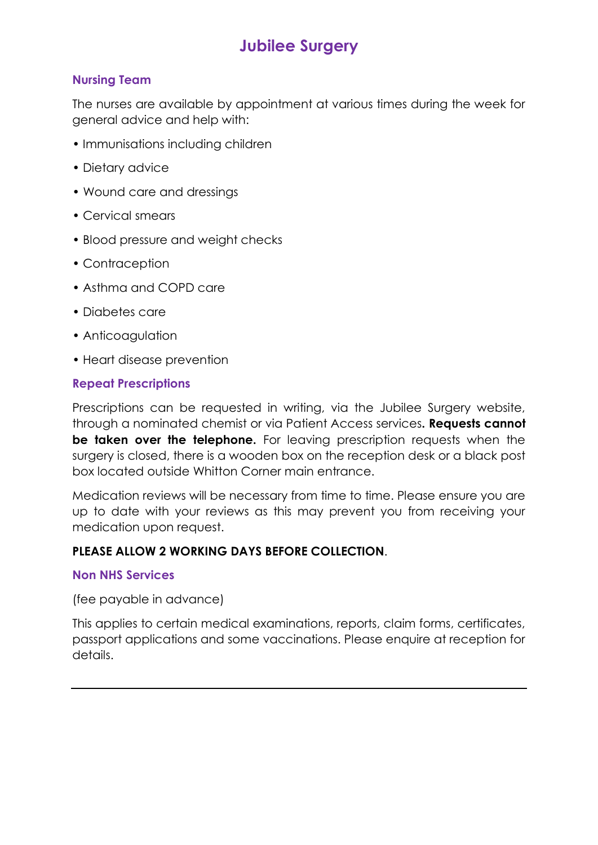## **Nursing Team**

The nurses are available by appointment at various times during the week for general advice and help with:

- Immunisations including children
- Dietary advice
- Wound care and dressings
- Cervical smears
- Blood pressure and weight checks
- Contraception
- Asthma and COPD care
- Diabetes care
- Anticoagulation
- Heart disease prevention

#### **Repeat Prescriptions**

Prescriptions can be requested in writing, via the Jubilee Surgery website, through a nominated chemist or via Patient Access services**. Requests cannot be taken over the telephone.** For leaving prescription requests when the surgery is closed, there is a wooden box on the reception desk or a black post box located outside Whitton Corner main entrance.

Medication reviews will be necessary from time to time. Please ensure you are up to date with your reviews as this may prevent you from receiving your medication upon request.

## **PLEASE ALLOW 2 WORKING DAYS BEFORE COLLECTION**.

#### **Non NHS Services**

(fee payable in advance)

This applies to certain medical examinations, reports, claim forms, certificates, passport applications and some vaccinations. Please enquire at reception for details.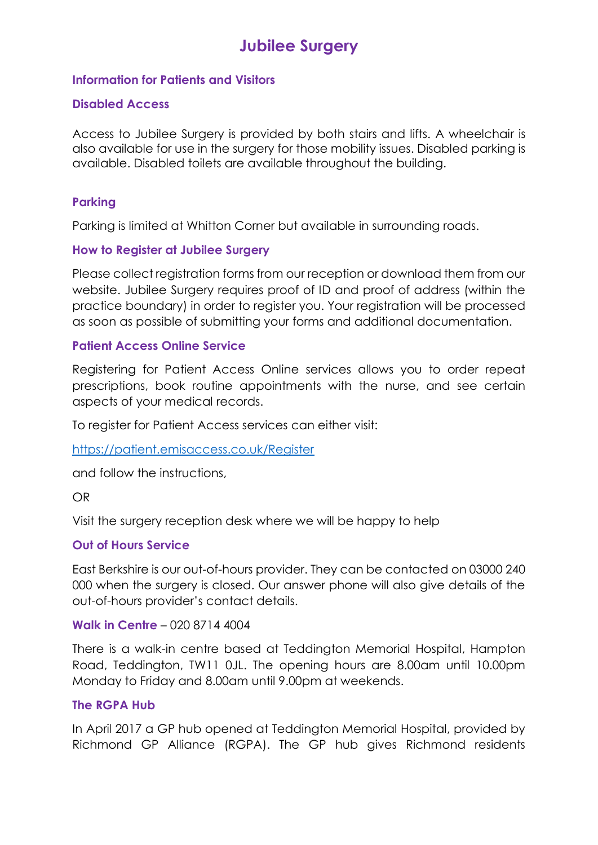#### **Information for Patients and Visitors**

#### **Disabled Access**

Access to Jubilee Surgery is provided by both stairs and lifts. A wheelchair is also available for use in the surgery for those mobility issues. Disabled parking is available. Disabled toilets are available throughout the building.

## **Parking**

Parking is limited at Whitton Corner but available in surrounding roads.

#### **How to Register at Jubilee Surgery**

Please collect registration forms from our reception or download them from our website. Jubilee Surgery requires proof of ID and proof of address (within the practice boundary) in order to register you. Your registration will be processed as soon as possible of submitting your forms and additional documentation.

#### **Patient Access Online Service**

Registering for Patient Access Online services allows you to order repeat prescriptions, book routine appointments with the nurse, and see certain aspects of your medical records.

To register for Patient Access services can either visit:

<https://patient.emisaccess.co.uk/Register>

and follow the instructions,

OR

Visit the surgery reception desk where we will be happy to help

#### **Out of Hours Service**

East Berkshire is our out-of-hours provider. They can be contacted on 03000 240 000 when the surgery is closed. Our answer phone will also give details of the out-of-hours provider's contact details.

#### **Walk in Centre** – 020 8714 4004

There is a walk-in centre based at Teddington Memorial Hospital, Hampton Road, Teddington, TW11 0JL. The opening hours are 8.00am until 10.00pm Monday to Friday and 8.00am until 9.00pm at weekends.

#### **The RGPA Hub**

In April 2017 a GP hub opened at Teddington Memorial Hospital, provided by Richmond GP Alliance (RGPA). The GP hub gives Richmond residents